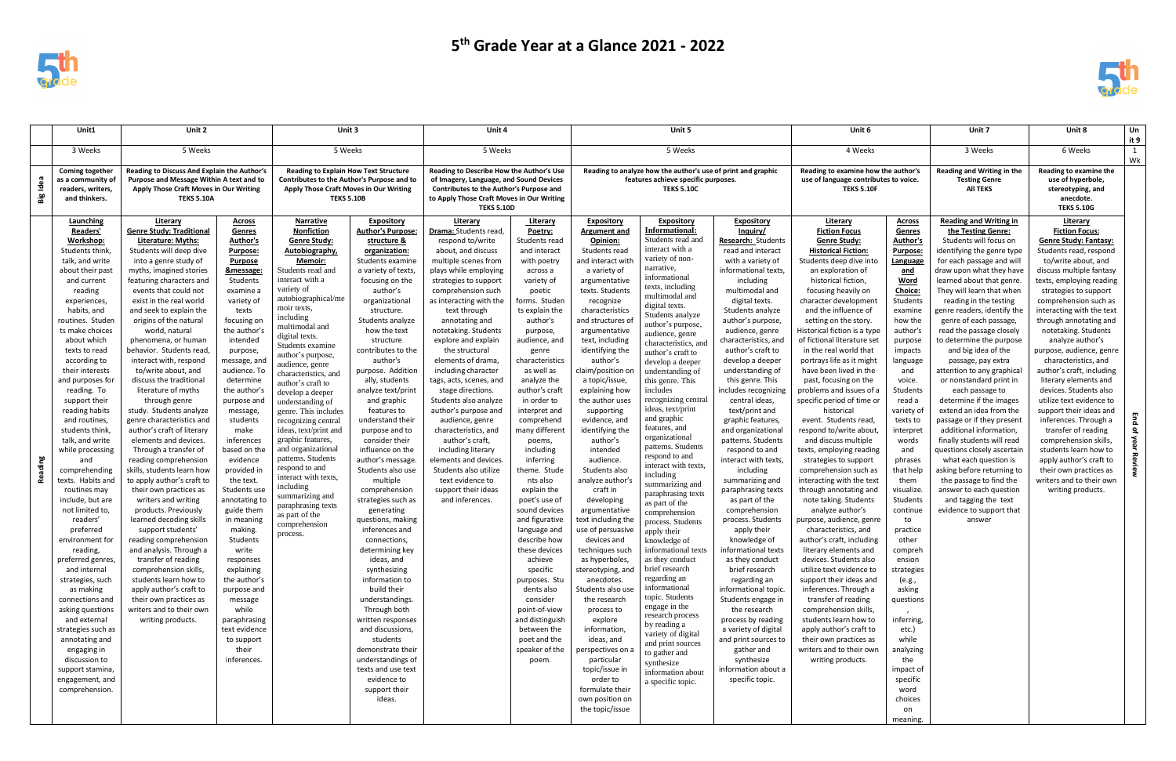

|             | Unit1                                                                                                                                                                                                                                                                                                                                                                                                                                                                                                                                                                                                                                                                                                                                                                                                                                     | Unit 2                                                                                                                                                                                                                                                                                                                                                                                                                                                                                                                                                                                                                                                                                                                                                                                                                                                                                                                                                                                                                                                                 |                                                                                                                                                                                                                                                                                                                                                                                                                                                                                                                                                                                                                                         | Unit 3                                                                                                                                                                                                                                                                                                                                                                                                                                                                                                                                                                                                                                                                   |                                                                                                                                                                                                                                                                                                                                                                                                                                                                                                                                                                                                                                                                                                                                                                                                                                                                                                        | Unit 4                                                                                                                                                                                                                                                                                                                                                                                                                                                                                                                                                                                                                                                      |                                                                                                                                                                                                                                                                                                                                                                                                                                                                                                                                                                                                                                                                                    | Unit 5                                                                                                                                                                                                                                                                                                                                                                                                                                                                                                                                                                                                                                                                                                                                                                                                                                                                          |                                                                                                                                                                                                                                                                                                                                                                                                                                                                                                                                                                                                                                                                                                                                                                                                                                                                                                                                                                                   |                                                                                                                                                                                                                                                                                                                                                                                                                                                                                                                                                                                                                                                                                                                                                                                                                                                                                                                                                       | Unit 6                                                                                                                                                                                                                                                                                                                                                                                                                                                                                                                                                                                                                                                                                                                                                                                                                                                                                                                                                                                                                                                                                                                                                                          |                                                                                                                                                                                                                                                                                                                                                                                                                                                                                                                                                                                 | Unit 7                                                                                                                                                                                                                                                                                                                                                                                                                                                                                                                                                                                                                                                                                                                                                                                                                                                    | Unit 8<br>Un<br>it 9                                                                                                                                                                                                                                                                                                                                                                                                                                                                                                                                                                                                                                                                                                               |                     |
|-------------|-------------------------------------------------------------------------------------------------------------------------------------------------------------------------------------------------------------------------------------------------------------------------------------------------------------------------------------------------------------------------------------------------------------------------------------------------------------------------------------------------------------------------------------------------------------------------------------------------------------------------------------------------------------------------------------------------------------------------------------------------------------------------------------------------------------------------------------------|------------------------------------------------------------------------------------------------------------------------------------------------------------------------------------------------------------------------------------------------------------------------------------------------------------------------------------------------------------------------------------------------------------------------------------------------------------------------------------------------------------------------------------------------------------------------------------------------------------------------------------------------------------------------------------------------------------------------------------------------------------------------------------------------------------------------------------------------------------------------------------------------------------------------------------------------------------------------------------------------------------------------------------------------------------------------|-----------------------------------------------------------------------------------------------------------------------------------------------------------------------------------------------------------------------------------------------------------------------------------------------------------------------------------------------------------------------------------------------------------------------------------------------------------------------------------------------------------------------------------------------------------------------------------------------------------------------------------------|--------------------------------------------------------------------------------------------------------------------------------------------------------------------------------------------------------------------------------------------------------------------------------------------------------------------------------------------------------------------------------------------------------------------------------------------------------------------------------------------------------------------------------------------------------------------------------------------------------------------------------------------------------------------------|--------------------------------------------------------------------------------------------------------------------------------------------------------------------------------------------------------------------------------------------------------------------------------------------------------------------------------------------------------------------------------------------------------------------------------------------------------------------------------------------------------------------------------------------------------------------------------------------------------------------------------------------------------------------------------------------------------------------------------------------------------------------------------------------------------------------------------------------------------------------------------------------------------|-------------------------------------------------------------------------------------------------------------------------------------------------------------------------------------------------------------------------------------------------------------------------------------------------------------------------------------------------------------------------------------------------------------------------------------------------------------------------------------------------------------------------------------------------------------------------------------------------------------------------------------------------------------|------------------------------------------------------------------------------------------------------------------------------------------------------------------------------------------------------------------------------------------------------------------------------------------------------------------------------------------------------------------------------------------------------------------------------------------------------------------------------------------------------------------------------------------------------------------------------------------------------------------------------------------------------------------------------------|---------------------------------------------------------------------------------------------------------------------------------------------------------------------------------------------------------------------------------------------------------------------------------------------------------------------------------------------------------------------------------------------------------------------------------------------------------------------------------------------------------------------------------------------------------------------------------------------------------------------------------------------------------------------------------------------------------------------------------------------------------------------------------------------------------------------------------------------------------------------------------|-----------------------------------------------------------------------------------------------------------------------------------------------------------------------------------------------------------------------------------------------------------------------------------------------------------------------------------------------------------------------------------------------------------------------------------------------------------------------------------------------------------------------------------------------------------------------------------------------------------------------------------------------------------------------------------------------------------------------------------------------------------------------------------------------------------------------------------------------------------------------------------------------------------------------------------------------------------------------------------|-------------------------------------------------------------------------------------------------------------------------------------------------------------------------------------------------------------------------------------------------------------------------------------------------------------------------------------------------------------------------------------------------------------------------------------------------------------------------------------------------------------------------------------------------------------------------------------------------------------------------------------------------------------------------------------------------------------------------------------------------------------------------------------------------------------------------------------------------------------------------------------------------------------------------------------------------------|---------------------------------------------------------------------------------------------------------------------------------------------------------------------------------------------------------------------------------------------------------------------------------------------------------------------------------------------------------------------------------------------------------------------------------------------------------------------------------------------------------------------------------------------------------------------------------------------------------------------------------------------------------------------------------------------------------------------------------------------------------------------------------------------------------------------------------------------------------------------------------------------------------------------------------------------------------------------------------------------------------------------------------------------------------------------------------------------------------------------------------------------------------------------------------|---------------------------------------------------------------------------------------------------------------------------------------------------------------------------------------------------------------------------------------------------------------------------------------------------------------------------------------------------------------------------------------------------------------------------------------------------------------------------------------------------------------------------------------------------------------------------------|-----------------------------------------------------------------------------------------------------------------------------------------------------------------------------------------------------------------------------------------------------------------------------------------------------------------------------------------------------------------------------------------------------------------------------------------------------------------------------------------------------------------------------------------------------------------------------------------------------------------------------------------------------------------------------------------------------------------------------------------------------------------------------------------------------------------------------------------------------------|------------------------------------------------------------------------------------------------------------------------------------------------------------------------------------------------------------------------------------------------------------------------------------------------------------------------------------------------------------------------------------------------------------------------------------------------------------------------------------------------------------------------------------------------------------------------------------------------------------------------------------------------------------------------------------------------------------------------------------|---------------------|
|             | 3 Weeks                                                                                                                                                                                                                                                                                                                                                                                                                                                                                                                                                                                                                                                                                                                                                                                                                                   | 5 Weeks                                                                                                                                                                                                                                                                                                                                                                                                                                                                                                                                                                                                                                                                                                                                                                                                                                                                                                                                                                                                                                                                |                                                                                                                                                                                                                                                                                                                                                                                                                                                                                                                                                                                                                                         |                                                                                                                                                                                                                                                                                                                                                                                                                                                                                                                                                                                                                                                                          | 5 Weeks                                                                                                                                                                                                                                                                                                                                                                                                                                                                                                                                                                                                                                                                                                                                                                                                                                                                                                |                                                                                                                                                                                                                                                                                                                                                                                                                                                                                                                                                                                                                                                             | 5 Weeks                                                                                                                                                                                                                                                                                                                                                                                                                                                                                                                                                                                                                                                                            |                                                                                                                                                                                                                                                                                                                                                                                                                                                                                                                                                                                                                                                                                                                                                                                                                                                                                 | 5 Weeks                                                                                                                                                                                                                                                                                                                                                                                                                                                                                                                                                                                                                                                                                                                                                                                                                                                                                                                                                                           |                                                                                                                                                                                                                                                                                                                                                                                                                                                                                                                                                                                                                                                                                                                                                                                                                                                                                                                                                       |                                                                                                                                                                                                                                                                                                                                                                                                                                                                                                                                                                                                                                                                                                                                                                                                                                                                                                                                                                                                                                                                                                                                                                                 | 4 Weeks                                                                                                                                                                                                                                                                                                                                                                                                                                                                                                                                                                         |                                                                                                                                                                                                                                                                                                                                                                                                                                                                                                                                                                                                                                                                                                                                                                                                                                                           | 6 Weeks                                                                                                                                                                                                                                                                                                                                                                                                                                                                                                                                                                                                                                                                                                                            | $\overline{1}$<br>W |
| Idea<br>Big | <b>Coming together</b><br>as a community of<br>readers, writers,<br>and thinkers.                                                                                                                                                                                                                                                                                                                                                                                                                                                                                                                                                                                                                                                                                                                                                         | Reading to Discuss And Explain the Author's<br>Purpose and Message Within A text and to<br>Apply Those Craft Moves in Our Writing<br><b>TEKS 5.10A</b>                                                                                                                                                                                                                                                                                                                                                                                                                                                                                                                                                                                                                                                                                                                                                                                                                                                                                                                 |                                                                                                                                                                                                                                                                                                                                                                                                                                                                                                                                                                                                                                         | <b>Reading to Explain How Text Structure</b><br>Contributes to the Author's Purpose and to<br>Apply Those Craft Moves in Our Writing<br><b>TEKS 5.10B</b>                                                                                                                                                                                                                                                                                                                                                                                                                                                                                                                |                                                                                                                                                                                                                                                                                                                                                                                                                                                                                                                                                                                                                                                                                                                                                                                                                                                                                                        | Reading to Describe How the Author's Use<br>of Imagery, Language, and Sound Devices<br>Contributes to the Author's Purpose and<br>to Apply Those Craft Moves in Our Writing<br><b>TEKS 5.10D</b>                                                                                                                                                                                                                                                                                                                                                                                                                                                            |                                                                                                                                                                                                                                                                                                                                                                                                                                                                                                                                                                                                                                                                                    | Reading to analyze how the author's use of print and graphic<br>features achieve specific purposes.<br><b>TEKS 5.10C</b>                                                                                                                                                                                                                                                                                                                                                                                                                                                                                                                                                                                                                                                                                                                                                        |                                                                                                                                                                                                                                                                                                                                                                                                                                                                                                                                                                                                                                                                                                                                                                                                                                                                                                                                                                                   |                                                                                                                                                                                                                                                                                                                                                                                                                                                                                                                                                                                                                                                                                                                                                                                                                                                                                                                                                       | Reading to examine how the author's<br>use of language contributes to voice.<br><b>TEKS 5.10F</b>                                                                                                                                                                                                                                                                                                                                                                                                                                                                                                                                                                                                                                                                                                                                                                                                                                                                                                                                                                                                                                                                               |                                                                                                                                                                                                                                                                                                                                                                                                                                                                                                                                                                                 | Reading and Writing in the<br><b>Testing Genre</b><br><b>All TEKS</b>                                                                                                                                                                                                                                                                                                                                                                                                                                                                                                                                                                                                                                                                                                                                                                                     | Reading to examine the<br>use of hyperbole,<br>stereotyping, and<br>anecdote.<br><b>TEKS 5.10G</b>                                                                                                                                                                                                                                                                                                                                                                                                                                                                                                                                                                                                                                 |                     |
| Reading     | Launching<br>Readers'<br>Workshop:<br>Students think,<br>talk, and write<br>about their past<br>and current<br>reading<br>experiences,<br>habits, and<br>routines. Studen<br>ts make choices<br>about which<br>texts to read<br>according to<br>their interests<br>and purposes for<br>reading. To<br>support their<br>reading habits<br>and routines<br>students think,<br>talk, and write<br>while processing<br>and<br>comprehending<br>texts. Habits and<br>routines may<br>include, but are<br>not limited to,<br>readers'<br>preferred<br>environment for<br>reading,<br>preferred genres,<br>and internal<br>strategies, such<br>as making<br>connections and<br>asking questions<br>and external<br>strategies such as<br>annotating and<br>engaging in<br>discussion to<br>support stamina,<br>engagement, and<br>comprehension. | Literary<br><b>Genre Study: Traditional</b><br>Literature: Myths:<br>Students will deep dive<br>into a genre study of<br>myths, imagined stories<br>featuring characters and<br>events that could not<br>exist in the real world<br>and seek to explain the<br>origins of the natural<br>world, natural<br>phenomena, or human<br>behavior. Students read<br>interact with, respond<br>to/write about, and<br>discuss the traditional<br>literature of myths<br>through genre<br>study. Students analyze<br>genre characteristics and<br>author's craft of literary<br>elements and devices.<br>Through a transfer of<br>reading comprehension<br>skills, students learn how<br>to apply author's craft to<br>their own practices as<br>writers and writing<br>products. Previously<br>learned decoding skills<br>support students'<br>reading comprehension<br>and analysis. Through a<br>transfer of reading<br>comprehension skills,<br>students learn how to<br>apply author's craft to<br>their own practices as<br>writers and to their own<br>writing products. | <b>Across</b><br><b>Genres</b><br>Author's<br><b>Purpose:</b><br><b>Purpose</b><br>&message:<br>Students<br>examine a<br>variety of<br>texts<br>focusing on<br>the author's<br>intended<br>purpose,<br>message, and<br>audience. To<br>determine<br>the author's<br>purpose and<br>message,<br>students<br>make<br>inferences<br>based on the<br>evidence<br>provided in<br>the text.<br>Students use<br>annotating to<br>guide them<br>in meaning<br>making.<br>Students<br>write<br>responses<br>explaining<br>the author's<br>purpose and<br>message<br>while<br>paraphrasing<br>text evidence<br>to support<br>their<br>inferences. | <b>Narrative</b><br>Nonfiction<br><b>Genre Study:</b><br>Autobiography,<br>Memoir:<br>Students read and<br>interact with a<br>variety of<br>autobiographical/me<br>moir texts,<br>including<br>multimodal and<br>digital texts.<br>Students examine<br>author's purpose,<br>audience, genre<br>characteristics, and<br>author's craft to<br>develop a deeper<br>understanding of<br>genre. This includes<br>recognizing central<br>ideas, text/print and<br>graphic features,<br>and organizational<br>patterns. Students<br>respond to and<br>interact with texts,<br>including<br>summarizing and<br>paraphrasing texts<br>as part of the<br>comprehension<br>process. | <b>Expository</b><br><b>Author's Purpose:</b><br>structure &<br>organization:<br>Students examine<br>a variety of texts.<br>focusing on the<br>author's<br>organizational<br>structure.<br>Students analyze<br>how the text<br>structure<br>contributes to the<br>author's<br>purpose. Addition<br>ally, students<br>analyze text/print<br>and graphic<br>features to<br>understand their<br>purpose and to<br>consider their<br>influence on the<br>author's message<br>Students also use<br>multiple<br>comprehension<br>strategies such as<br>generating<br>questions, making<br>inferences and<br>connections,<br>determining key<br>ideas, and<br>synthesizing<br>information to<br>build their<br>understandings.<br>Through both<br>written responses<br>and discussions,<br>students<br>demonstrate their<br>understandings of<br>texts and use text<br>evidence to<br>support their<br>ideas. | Literary<br>Drama: Students read,<br>respond to/write<br>about, and discuss<br>multiple scenes from<br>plays while employing<br>strategies to support<br>comprehension such<br>as interacting with the<br>text through<br>annotating and<br>notetaking. Students<br>explore and explain<br>the structural<br>elements of drama,<br>including character<br>tags, acts, scenes, and<br>stage directions.<br>Students also analyze<br>author's purpose and<br>audience, genre<br>characteristics, and<br>author's craft,<br>including literary<br>elements and devices.<br>Students also utilize<br>text evidence to<br>support their ideas<br>and inferences. | Literary<br>Poetry:<br>Students read<br>and interact<br>with poetry<br>across a<br>variety of<br>poetic<br>forms. Studen<br>ts explain the<br>author's<br>purpose,<br>audience, and<br>genre<br>characteristics<br>as well as<br>analyze the<br>author's craft<br>in order to<br>interpret and<br>comprehend<br>many different<br>poems,<br>including<br>inferring<br>theme. Stude<br>nts also<br>explain the<br>poet's use of<br>sound devices<br>and figurative<br>language and<br>describe how<br>these devices<br>achieve<br>specific<br>purposes. Stu<br>dents also<br>consider<br>point-of-view<br>and distinguish<br>between the<br>poet and the<br>speaker of the<br>poem. | <b>Expository</b><br><b>Argument and</b><br>Opinion:<br>Students read<br>and interact with<br>a variety of<br>argumentative<br>texts. Students<br>recognize<br>characteristics<br>and structures of<br>argumentative<br>text, including<br>identifying the<br>author's<br>claim/position or<br>a topic/issue<br>explaining how<br>the author uses<br>supporting<br>evidence, and<br>identifying the<br>author's<br>intended<br>audience.<br>Students also<br>analyze author's<br>craft in<br>developing<br>argumentative<br>text including the<br>use of persuasive<br>devices and<br>techniques such<br>as hyperboles,<br>stereotyping, and<br>anecdotes.<br>Students also use<br>the research<br>process to<br>explore<br>information<br>ideas, and<br>perspectives on a<br>particular<br>topic/issue in<br>order to<br>formulate their<br>own position on<br>the topic/issue | <b>Expository</b><br><b>Informational:</b><br>Students read and<br>interact with a<br>variety of non-<br>narrative,<br>informational<br>texts, including<br>multimodal and<br>digital texts.<br>Students analyze<br>author's purpose,<br>audience, genre<br>characteristics, and<br>author's craft to<br>develop a deeper<br>understanding of<br>this genre. This<br>includes<br>recognizing central<br>ideas, text/print<br>and graphic<br>features, and<br>organizational<br>patterns. Students<br>respond to and<br>interact with texts,<br>including<br>summarizing and<br>paraphrasing texts<br>as part of the<br>comprehension<br>process. Students<br>apply their<br>knowledge of<br>informational texts<br>as they conduct<br>brief research<br>regarding an<br>informational<br>topic. Students<br>engage in the<br>research process<br>by reading a<br>variety of digital<br>and print sources<br>to gather and<br>synthesize<br>information about<br>a specific topic. | <b>Expository</b><br>Inquiry/<br>Research: Students<br>read and interact<br>with a variety of<br>informational texts,<br>including<br>multimodal and<br>digital texts.<br>Students analyze<br>author's purpose,<br>audience, genre<br>characteristics, and<br>author's craft to<br>develop a deeper<br>understanding of<br>this genre. This<br>includes recognizing<br>central ideas,<br>text/print and<br>graphic features,<br>and organizational<br>patterns. Students<br>respond to and<br>interact with texts,<br>including<br>summarizing and<br>paraphrasing texts<br>as part of the<br>comprehension<br>process. Students<br>apply their<br>knowledge of<br>informational texts<br>as they conduct<br>brief research<br>regarding an<br>informational topic.<br>Students engage in<br>the research<br>process by reading<br>a variety of digital<br>and print sources to<br>gather and<br>synthesize<br>information about a<br>specific topic. | Literary<br><b>Fiction Focus</b><br><b>Genre Study:</b><br><b>Historical Fiction:</b><br>Students deep dive into<br>an exploration of<br>historical fiction,<br>focusing heavily on<br>character development<br>and the influence of<br>setting on the story.<br>Historical fiction is a type<br>of fictional literature set<br>in the real world that<br>portrays life as it might<br>have been lived in the<br>past, focusing on the<br>problems and issues of a<br>specific period of time or<br>historical<br>event. Students read,<br>respond to/write about,<br>and discuss multiple<br>texts, employing reading<br>strategies to support<br>comprehension such as<br>interacting with the text<br>through annotating and<br>note taking. Students<br>analyze author's<br>purpose, audience, genre<br>characteristics, and<br>author's craft, including<br>literary elements and<br>devices. Students also<br>utilize text evidence to<br>support their ideas and<br>inferences. Through a<br>transfer of reading<br>comprehension skills,<br>students learn how to<br>apply author's craft to<br>their own practices as<br>writers and to their own<br>writing products. | <u>Across</u><br>Genres<br>Author's<br><b>Purpose:</b><br>Language<br><u>and</u><br>Word<br>Choice:<br>Students<br>examine<br>how the<br>author's<br>purpose<br>impacts<br>language<br>and<br>voice.<br><b>Students</b><br>read a<br>variety of<br>texts to<br>interpret<br>words<br>and<br>phrases<br>that help<br>them<br>visualize.<br>Students<br>continue<br>to<br>practice<br>other<br>compreh<br>ension<br>strategies<br>(e.g.,<br>asking<br>questions<br>inferring,<br>etc.)<br>while<br>analyzing<br>the<br>impact of<br>specific<br>word<br>choices<br>on<br>meaning. | <b>Reading and Writing in</b><br>the Testing Genre:<br>Students will focus on<br>identifying the genre type<br>for each passage and will<br>draw upon what they have<br>learned about that genre.<br>They will learn that when<br>reading in the testing<br>genre readers, identify the<br>genre of each passage,<br>read the passage closely<br>to determine the purpose<br>and big idea of the<br>passage, pay extra<br>attention to any graphical<br>or nonstandard print in<br>each passage to<br>determine if the images<br>extend an idea from the<br>passage or if they present<br>additional information,<br>finally students will read<br>questions closely ascertair<br>what each question is<br>asking before returning to<br>the passage to find the<br>answer to each question<br>and tagging the text<br>evidence to support that<br>answer | Literary<br><b>Fiction Focus:</b><br><b>Genre Study: Fantasy:</b><br>Students read, respond<br>to/write about, and<br>discuss multiple fantasy<br>texts, employing reading<br>strategies to support<br>comprehension such as<br>interacting with the text<br>through annotating and<br>notetaking. Students<br>analyze author's<br>purpose, audience, genre<br>characteristics, and<br>author's craft, including<br>literary elements and<br>devices. Students also<br>utilize text evidence to<br>support their ideas and<br>inferences. Through a<br>transfer of reading<br>comprehension skills,<br>students learn how to<br>apply author's craft to<br>their own practices as<br>writers and to their own<br>writing products. |                     |



| 6                                                                                                                                                                                                                                                                             |                                                                                                                                                                                                                                                                                                                                                                                                                                                                                                                                                            | Unit 7                                                                                                                                                                                                                                                                                                                                                                                                                                                                                                                                                                                                                                                                                                                                                                                                                                                    | Unit 8                                                                                                                                                                                                                                                                                                                                                                                                                                                                                                                                                                                                                                                                                                                             | Un<br>it 9         |
|-------------------------------------------------------------------------------------------------------------------------------------------------------------------------------------------------------------------------------------------------------------------------------|------------------------------------------------------------------------------------------------------------------------------------------------------------------------------------------------------------------------------------------------------------------------------------------------------------------------------------------------------------------------------------------------------------------------------------------------------------------------------------------------------------------------------------------------------------|-----------------------------------------------------------------------------------------------------------------------------------------------------------------------------------------------------------------------------------------------------------------------------------------------------------------------------------------------------------------------------------------------------------------------------------------------------------------------------------------------------------------------------------------------------------------------------------------------------------------------------------------------------------------------------------------------------------------------------------------------------------------------------------------------------------------------------------------------------------|------------------------------------------------------------------------------------------------------------------------------------------------------------------------------------------------------------------------------------------------------------------------------------------------------------------------------------------------------------------------------------------------------------------------------------------------------------------------------------------------------------------------------------------------------------------------------------------------------------------------------------------------------------------------------------------------------------------------------------|--------------------|
| eks                                                                                                                                                                                                                                                                           |                                                                                                                                                                                                                                                                                                                                                                                                                                                                                                                                                            | 3 Weeks                                                                                                                                                                                                                                                                                                                                                                                                                                                                                                                                                                                                                                                                                                                                                                                                                                                   | 6 Weeks                                                                                                                                                                                                                                                                                                                                                                                                                                                                                                                                                                                                                                                                                                                            | 1<br>Wk            |
| .10F                                                                                                                                                                                                                                                                          | how the author's<br>tributes to voice.                                                                                                                                                                                                                                                                                                                                                                                                                                                                                                                     | Reading and Writing in the<br><b>Testing Genre</b><br><b>AII TEKS</b>                                                                                                                                                                                                                                                                                                                                                                                                                                                                                                                                                                                                                                                                                                                                                                                     | Reading to examine the<br>use of hyperbole,<br>stereotyping, and<br>anecdote.<br><b>TEKS 5.10G</b>                                                                                                                                                                                                                                                                                                                                                                                                                                                                                                                                                                                                                                 |                    |
| into<br>f<br>m<br>ıent<br>of<br>ry.<br>type<br>e set<br>าat<br>ight<br>the<br>he<br>of a<br>e or<br>ad,<br>out,<br>۱le<br>ding<br>วrt<br>h as<br>text<br>and<br>nts<br>enre;<br>١d<br>ding<br>ınd<br>ılso<br>e to<br>and<br>h a<br>ıg<br>ills,<br>∕ to<br>t to<br>s as<br>own | <b>Across</b><br>Genres<br>Author's<br>Purpose:<br>Language<br>and<br>Word<br>Choice:<br>Students<br>examine<br>how the<br>author's<br>purpose<br>impacts<br>language<br>and<br>voice.<br>Students<br>read a<br>variety of<br>texts to<br>interpret<br>words<br>and<br>phrases<br>that help<br>them<br>visualize.<br>Students<br>continue<br>to<br>practice<br>other<br>compreh<br>ension<br>strategies<br>(e.g.,<br>asking<br>questions<br>inferring,<br>etc.)<br>while<br>analyzing<br>the<br>impact of<br>specific<br>word<br>choices<br>on<br>meaning. | <b>Reading and Writing in</b><br>the Testing Genre:<br>Students will focus on<br>identifying the genre type<br>for each passage and will<br>draw upon what they have<br>learned about that genre.<br>They will learn that when<br>reading in the testing<br>genre readers, identify the<br>genre of each passage,<br>read the passage closely<br>to determine the purpose<br>and big idea of the<br>passage, pay extra<br>attention to any graphical<br>or nonstandard print in<br>each passage to<br>determine if the images<br>extend an idea from the<br>passage or if they present<br>additional information,<br>finally students will read<br>questions closely ascertain<br>what each question is<br>asking before returning to<br>the passage to find the<br>answer to each question<br>and tagging the text<br>evidence to support that<br>answer | Literary<br><b>Fiction Focus:</b><br><b>Genre Study: Fantasy:</b><br>Students read, respond<br>to/write about, and<br>discuss multiple fantasy<br>texts, employing reading<br>strategies to support<br>comprehension such as<br>interacting with the text<br>through annotating and<br>notetaking. Students<br>analyze author's<br>purpose, audience, genre<br>characteristics, and<br>author's craft, including<br>literary elements and<br>devices. Students also<br>utilize text evidence to<br>support their ideas and<br>inferences. Through a<br>transfer of reading<br>comprehension skills,<br>students learn how to<br>apply author's craft to<br>their own practices as<br>writers and to their own<br>writing products. | End of year Review |